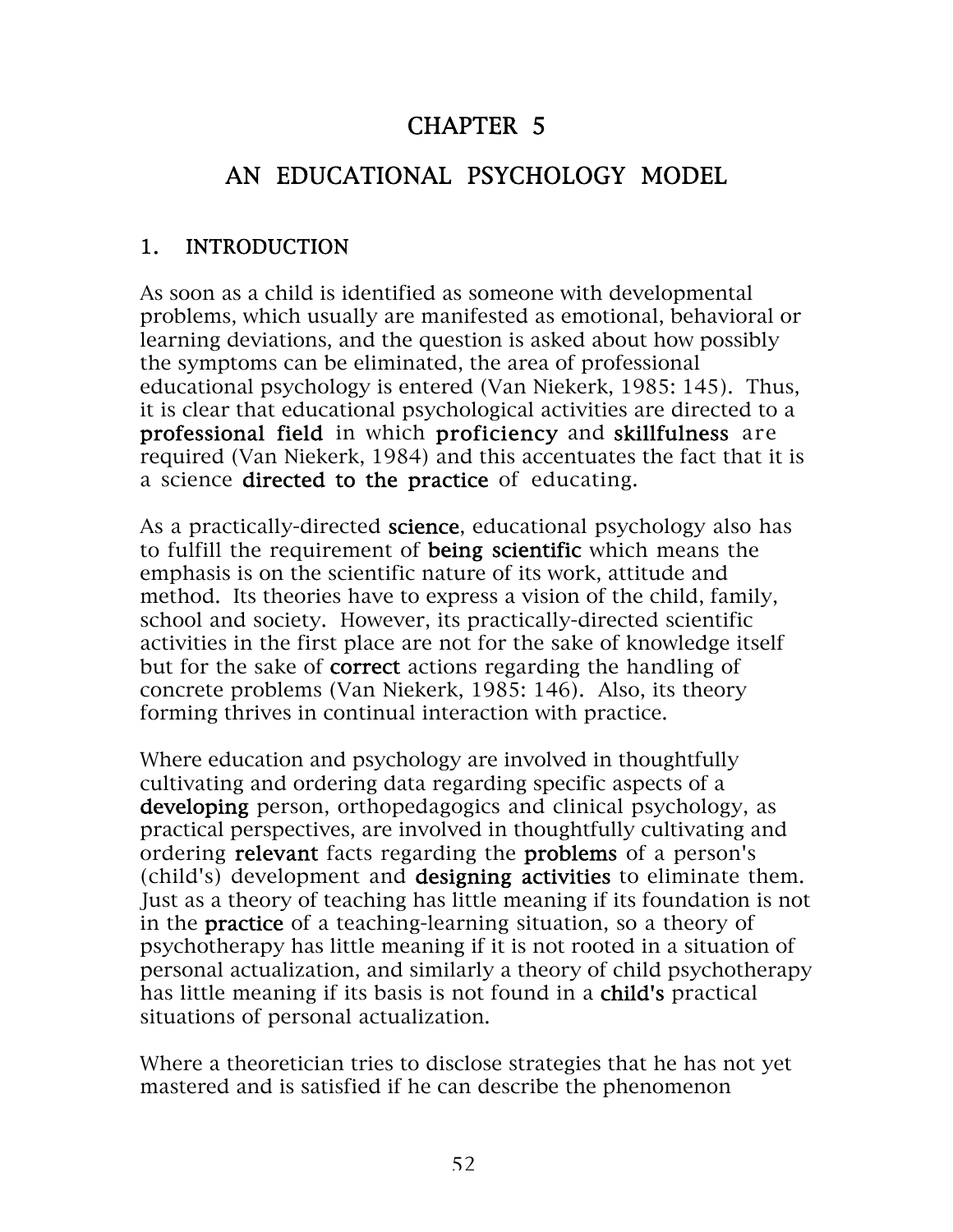# CHAPTER 5

# AN EDUCATIONAL PSYCHOLOGY MODEL

### 1. INTRODUCTION

As soon as a child is identified as someone with developmental problems, which usually are manifested as emotional, behavioral or learning deviations, and the question is asked about how possibly the symptoms can be eliminated, the area of professional educational psychology is entered (Van Niekerk, 1985: 145). Thus, it is clear that educational psychological activities are directed to a professional field in which proficiency and skillfulness are required (Van Niekerk, 1984) and this accentuates the fact that it is a science directed to the practice of educating.

As a practically-directed science, educational psychology also has to fulfill the requirement of being scientific which means the emphasis is on the scientific nature of its work, attitude and method. Its theories have to express a vision of the child, family, school and society. However, its practically-directed scientific activities in the first place are not for the sake of knowledge itself but for the sake of **correct** actions regarding the handling of concrete problems (Van Niekerk, 1985: 146). Also, its theory forming thrives in continual interaction with practice.

Where education and psychology are involved in thoughtfully cultivating and ordering data regarding specific aspects of a developing person, orthopedagogics and clinical psychology, as practical perspectives, are involved in thoughtfully cultivating and ordering relevant facts regarding the problems of a person's (child's) development and designing activities to eliminate them. Just as a theory of teaching has little meaning if its foundation is not in the practice of a teaching-learning situation, so a theory of psychotherapy has little meaning if it is not rooted in a situation of personal actualization, and similarly a theory of child psychotherapy has little meaning if its basis is not found in a child's practical situations of personal actualization.

Where a theoretician tries to disclose strategies that he has not yet mastered and is satisfied if he can describe the phenomenon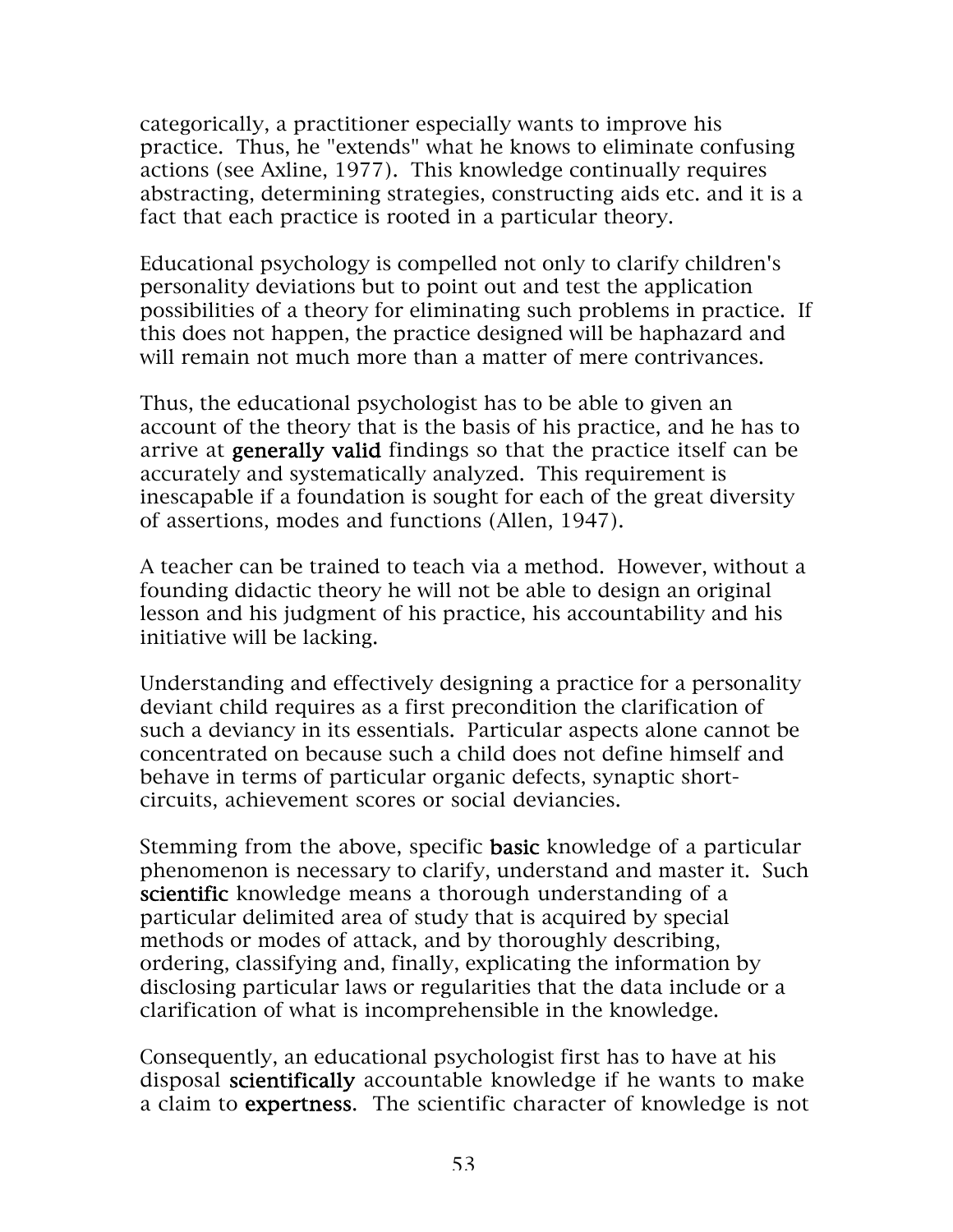categorically, a practitioner especially wants to improve his practice. Thus, he "extends" what he knows to eliminate confusing actions (see Axline, 1977). This knowledge continually requires abstracting, determining strategies, constructing aids etc. and it is a fact that each practice is rooted in a particular theory.

Educational psychology is compelled not only to clarify children's personality deviations but to point out and test the application possibilities of a theory for eliminating such problems in practice. If this does not happen, the practice designed will be haphazard and will remain not much more than a matter of mere contrivances.

Thus, the educational psychologist has to be able to given an account of the theory that is the basis of his practice, and he has to arrive at generally valid findings so that the practice itself can be accurately and systematically analyzed. This requirement is inescapable if a foundation is sought for each of the great diversity of assertions, modes and functions (Allen, 1947).

A teacher can be trained to teach via a method. However, without a founding didactic theory he will not be able to design an original lesson and his judgment of his practice, his accountability and his initiative will be lacking.

Understanding and effectively designing a practice for a personality deviant child requires as a first precondition the clarification of such a deviancy in its essentials. Particular aspects alone cannot be concentrated on because such a child does not define himself and behave in terms of particular organic defects, synaptic shortcircuits, achievement scores or social deviancies.

Stemming from the above, specific **basic** knowledge of a particular phenomenon is necessary to clarify, understand and master it. Such scientific knowledge means a thorough understanding of a particular delimited area of study that is acquired by special methods or modes of attack, and by thoroughly describing, ordering, classifying and, finally, explicating the information by disclosing particular laws or regularities that the data include or a clarification of what is incomprehensible in the knowledge.

Consequently, an educational psychologist first has to have at his disposal scientifically accountable knowledge if he wants to make a claim to expertness. The scientific character of knowledge is not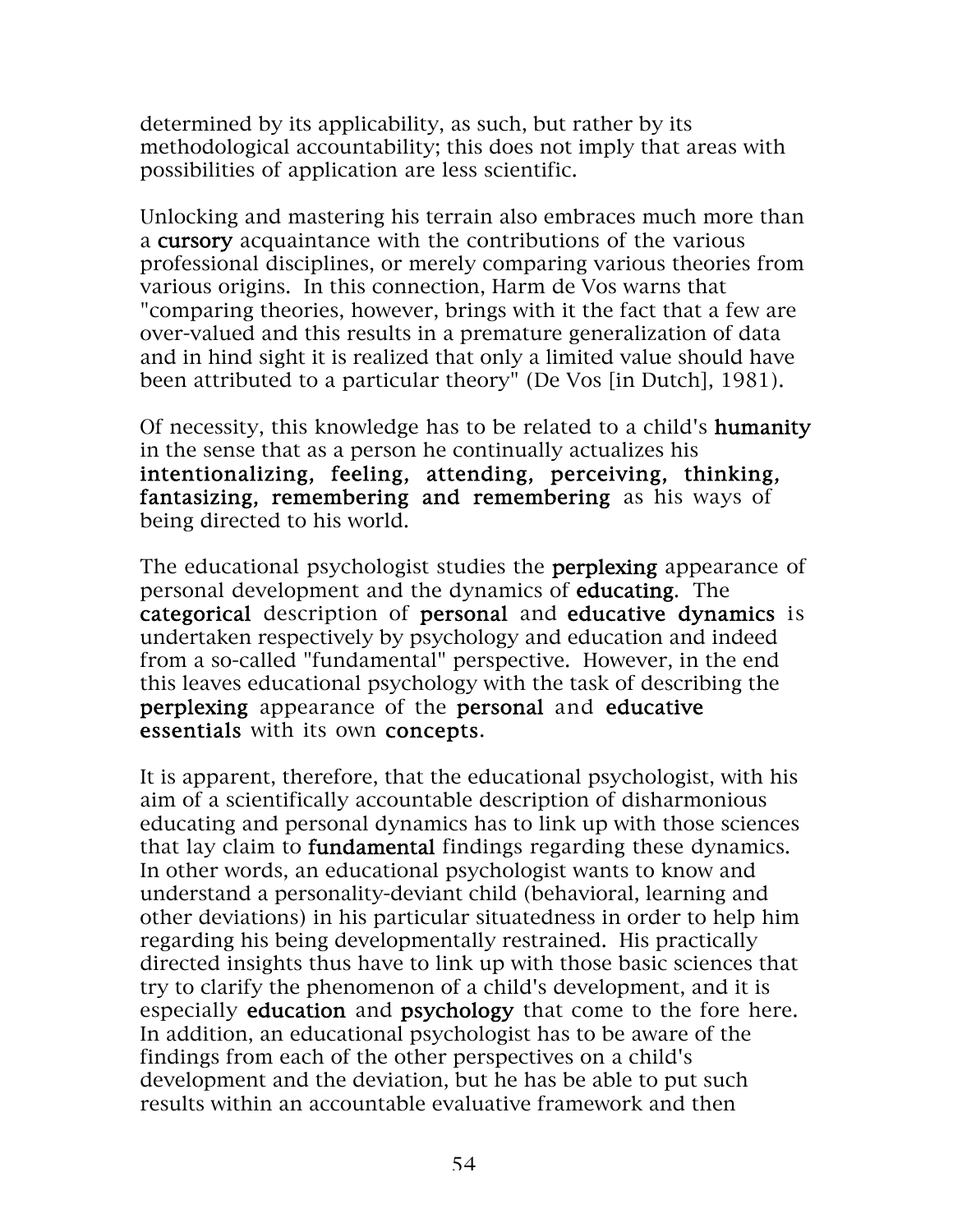determined by its applicability, as such, but rather by its methodological accountability; this does not imply that areas with possibilities of application are less scientific.

Unlocking and mastering his terrain also embraces much more than a cursory acquaintance with the contributions of the various professional disciplines, or merely comparing various theories from various origins. In this connection, Harm de Vos warns that "comparing theories, however, brings with it the fact that a few are over-valued and this results in a premature generalization of data and in hind sight it is realized that only a limited value should have been attributed to a particular theory" (De Vos [in Dutch], 1981).

Of necessity, this knowledge has to be related to a child's humanity in the sense that as a person he continually actualizes his intentionalizing, feeling, attending, perceiving, thinking, fantasizing, remembering and remembering as his ways of being directed to his world.

The educational psychologist studies the **perplexing** appearance of personal development and the dynamics of educating. The categorical description of personal and educative dynamics is undertaken respectively by psychology and education and indeed from a so-called "fundamental" perspective. However, in the end this leaves educational psychology with the task of describing the perplexing appearance of the personal and educative essentials with its own concepts.

It is apparent, therefore, that the educational psychologist, with his aim of a scientifically accountable description of disharmonious educating and personal dynamics has to link up with those sciences that lay claim to fundamental findings regarding these dynamics. In other words, an educational psychologist wants to know and understand a personality-deviant child (behavioral, learning and other deviations) in his particular situatedness in order to help him regarding his being developmentally restrained. His practically directed insights thus have to link up with those basic sciences that try to clarify the phenomenon of a child's development, and it is especially education and psychology that come to the fore here. In addition, an educational psychologist has to be aware of the findings from each of the other perspectives on a child's development and the deviation, but he has be able to put such results within an accountable evaluative framework and then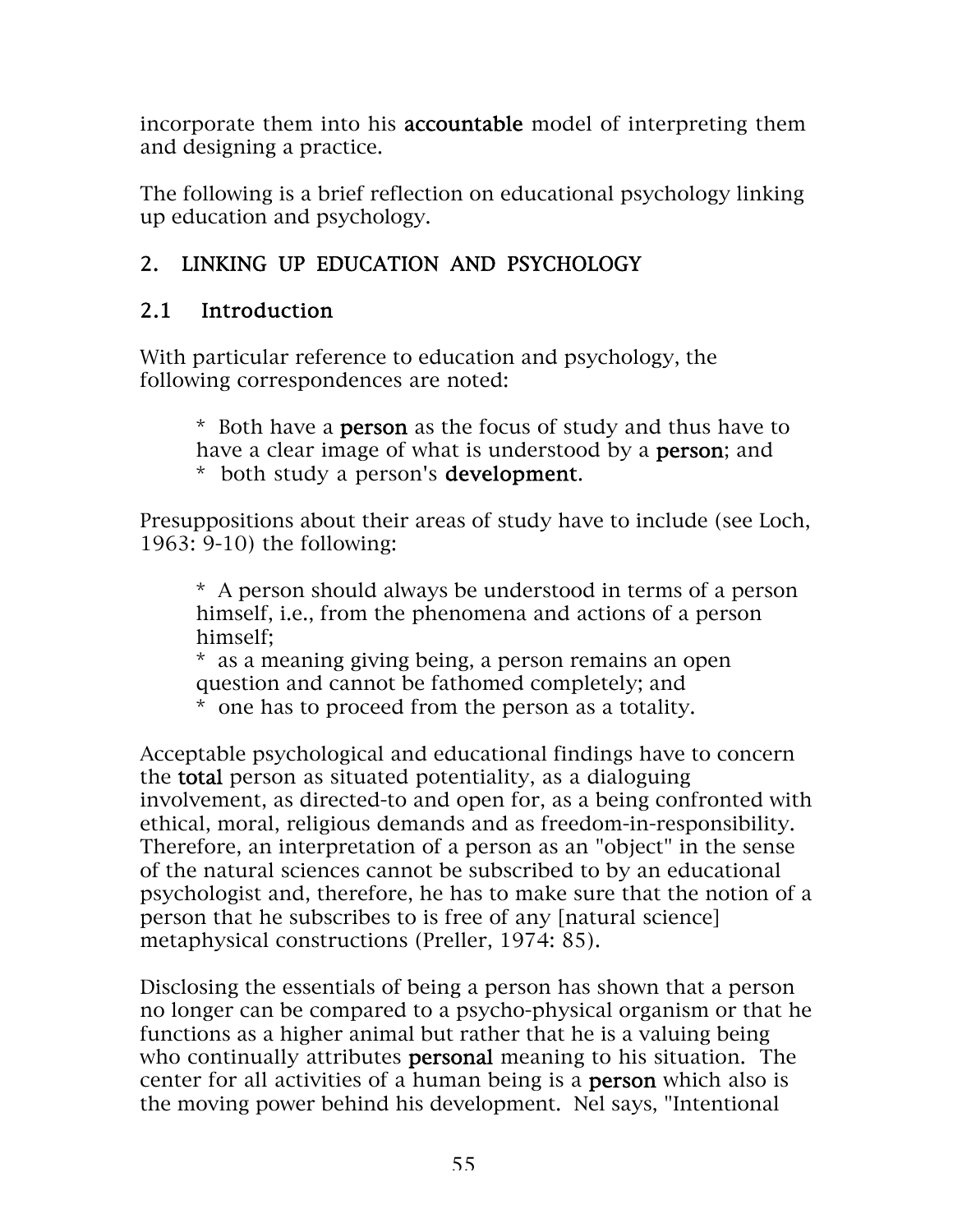incorporate them into his accountable model of interpreting them and designing a practice.

The following is a brief reflection on educational psychology linking up education and psychology.

# 2. LINKING UP EDUCATION AND PSYCHOLOGY

### 2.1 Introduction

With particular reference to education and psychology, the following correspondences are noted:

\* Both have a person as the focus of study and thus have to have a clear image of what is understood by a **person**; and \* both study a person's development.

Presuppositions about their areas of study have to include (see Loch, 1963: 9-10) the following:

\* A person should always be understood in terms of a person himself, i.e., from the phenomena and actions of a person himself;

\* as a meaning giving being, a person remains an open question and cannot be fathomed completely; and

\* one has to proceed from the person as a totality.

Acceptable psychological and educational findings have to concern the total person as situated potentiality, as a dialoguing involvement, as directed-to and open for, as a being confronted with ethical, moral, religious demands and as freedom-in-responsibility. Therefore, an interpretation of a person as an "object" in the sense of the natural sciences cannot be subscribed to by an educational psychologist and, therefore, he has to make sure that the notion of a person that he subscribes to is free of any [natural science] metaphysical constructions (Preller, 1974: 85).

Disclosing the essentials of being a person has shown that a person no longer can be compared to a psycho-physical organism or that he functions as a higher animal but rather that he is a valuing being who continually attributes **personal** meaning to his situation. The center for all activities of a human being is a person which also is the moving power behind his development. Nel says, "Intentional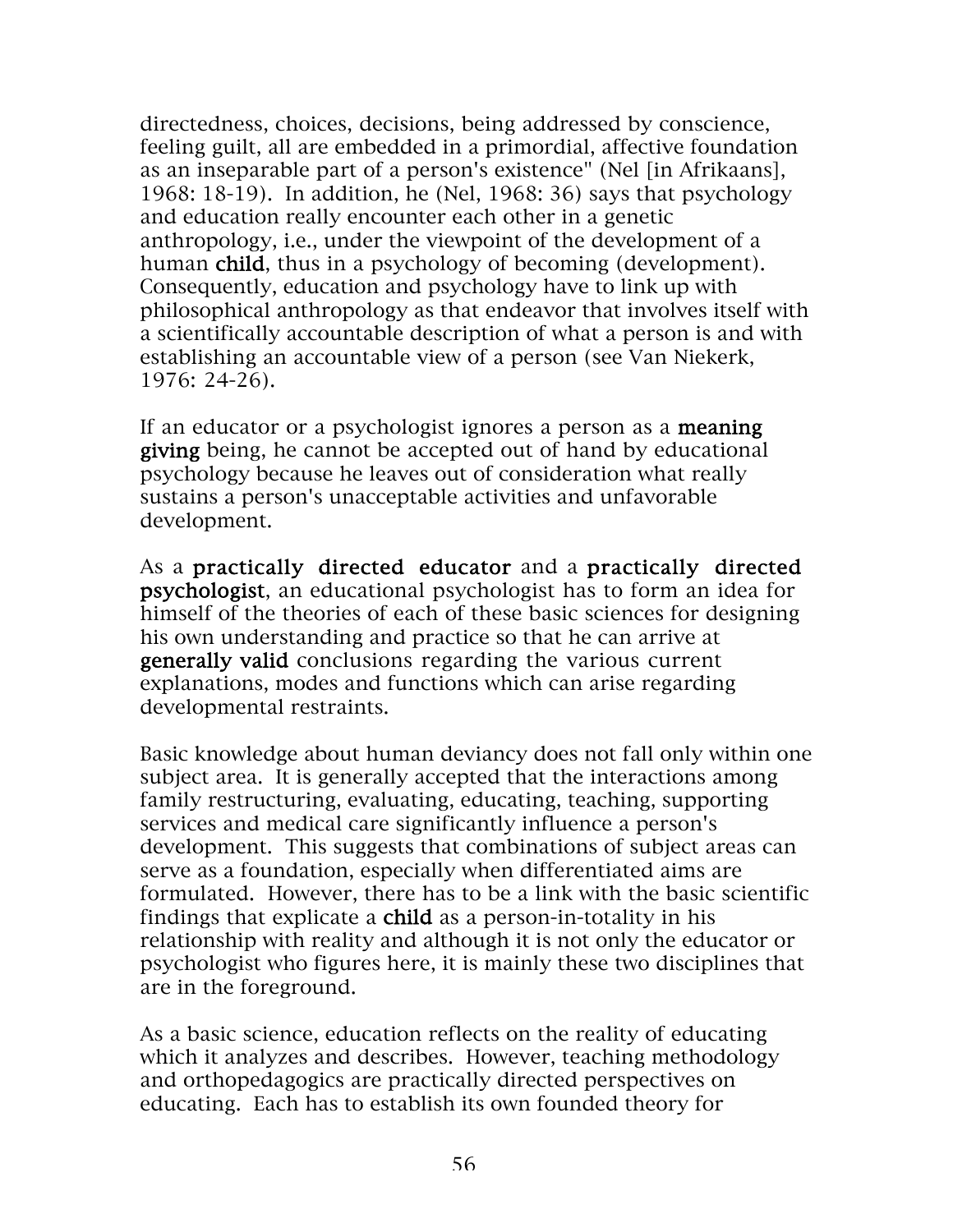directedness, choices, decisions, being addressed by conscience, feeling guilt, all are embedded in a primordial, affective foundation as an inseparable part of a person's existence" (Nel [in Afrikaans], 1968: 18-19). In addition, he (Nel, 1968: 36) says that psychology and education really encounter each other in a genetic anthropology, i.e., under the viewpoint of the development of a human child, thus in a psychology of becoming (development). Consequently, education and psychology have to link up with philosophical anthropology as that endeavor that involves itself with a scientifically accountable description of what a person is and with establishing an accountable view of a person (see Van Niekerk, 1976: 24-26).

If an educator or a psychologist ignores a person as a **meaning** giving being, he cannot be accepted out of hand by educational psychology because he leaves out of consideration what really sustains a person's unacceptable activities and unfavorable development.

As a practically directed educator and a practically directed psychologist, an educational psychologist has to form an idea for himself of the theories of each of these basic sciences for designing his own understanding and practice so that he can arrive at generally valid conclusions regarding the various current explanations, modes and functions which can arise regarding developmental restraints.

Basic knowledge about human deviancy does not fall only within one subject area. It is generally accepted that the interactions among family restructuring, evaluating, educating, teaching, supporting services and medical care significantly influence a person's development. This suggests that combinations of subject areas can serve as a foundation, especially when differentiated aims are formulated. However, there has to be a link with the basic scientific findings that explicate a child as a person-in-totality in his relationship with reality and although it is not only the educator or psychologist who figures here, it is mainly these two disciplines that are in the foreground.

As a basic science, education reflects on the reality of educating which it analyzes and describes. However, teaching methodology and orthopedagogics are practically directed perspectives on educating. Each has to establish its own founded theory for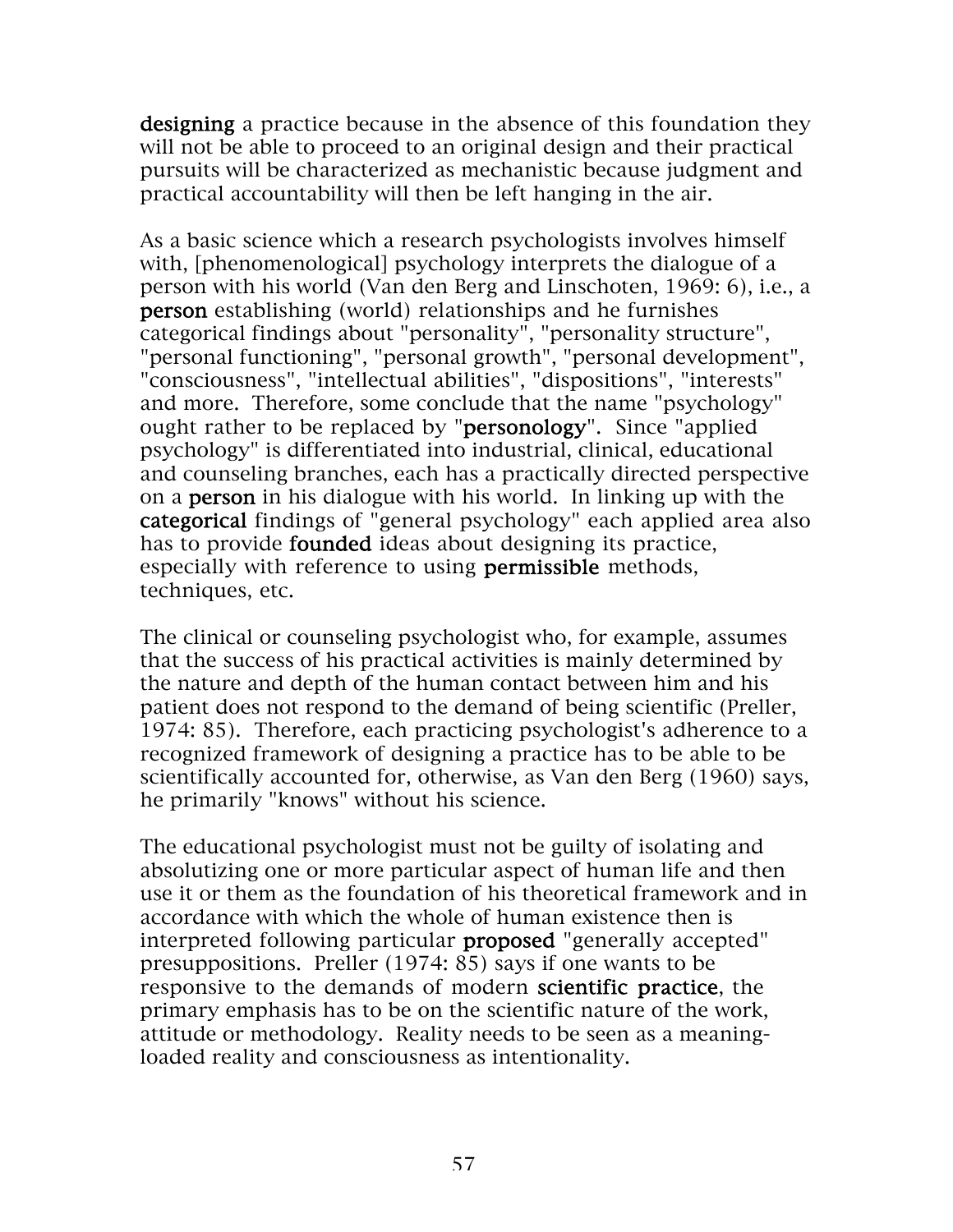designing a practice because in the absence of this foundation they will not be able to proceed to an original design and their practical pursuits will be characterized as mechanistic because judgment and practical accountability will then be left hanging in the air.

As a basic science which a research psychologists involves himself with, [phenomenological] psychology interprets the dialogue of a person with his world (Van den Berg and Linschoten, 1969: 6), i.e., a person establishing (world) relationships and he furnishes categorical findings about "personality", "personality structure", "personal functioning", "personal growth", "personal development", "consciousness", "intellectual abilities", "dispositions", "interests" and more. Therefore, some conclude that the name "psychology" ought rather to be replaced by "personology". Since "applied psychology" is differentiated into industrial, clinical, educational and counseling branches, each has a practically directed perspective on a person in his dialogue with his world. In linking up with the categorical findings of "general psychology" each applied area also has to provide **founded** ideas about designing its practice, especially with reference to using permissible methods, techniques, etc.

The clinical or counseling psychologist who, for example, assumes that the success of his practical activities is mainly determined by the nature and depth of the human contact between him and his patient does not respond to the demand of being scientific (Preller, 1974: 85). Therefore, each practicing psychologist's adherence to a recognized framework of designing a practice has to be able to be scientifically accounted for, otherwise, as Van den Berg (1960) says, he primarily "knows" without his science.

The educational psychologist must not be guilty of isolating and absolutizing one or more particular aspect of human life and then use it or them as the foundation of his theoretical framework and in accordance with which the whole of human existence then is interpreted following particular **proposed** "generally accepted" presuppositions. Preller (1974: 85) says if one wants to be responsive to the demands of modern scientific practice, the primary emphasis has to be on the scientific nature of the work, attitude or methodology. Reality needs to be seen as a meaningloaded reality and consciousness as intentionality.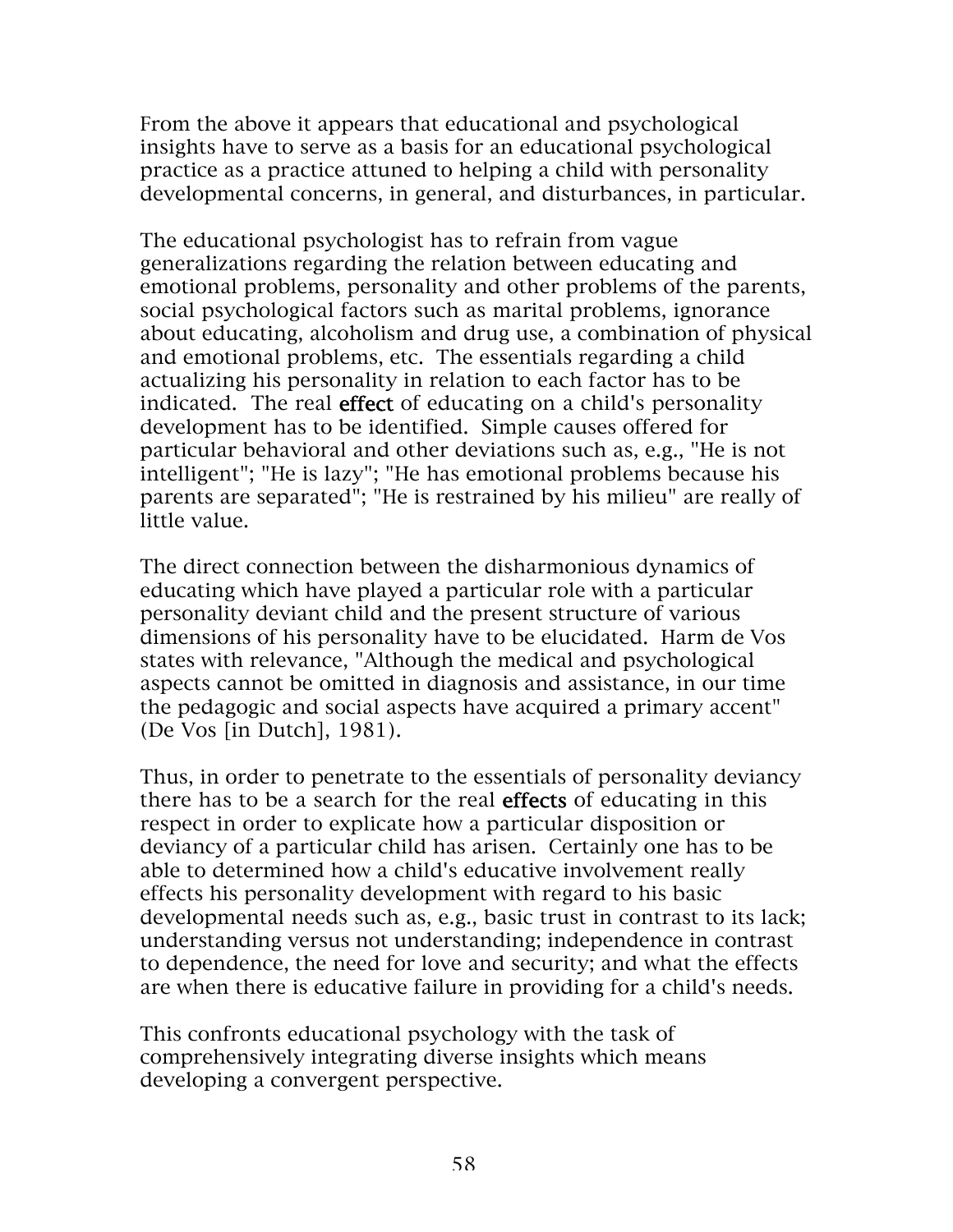From the above it appears that educational and psychological insights have to serve as a basis for an educational psychological practice as a practice attuned to helping a child with personality developmental concerns, in general, and disturbances, in particular.

The educational psychologist has to refrain from vague generalizations regarding the relation between educating and emotional problems, personality and other problems of the parents, social psychological factors such as marital problems, ignorance about educating, alcoholism and drug use, a combination of physical and emotional problems, etc. The essentials regarding a child actualizing his personality in relation to each factor has to be indicated. The real effect of educating on a child's personality development has to be identified. Simple causes offered for particular behavioral and other deviations such as, e.g., "He is not intelligent"; "He is lazy"; "He has emotional problems because his parents are separated"; "He is restrained by his milieu" are really of little value.

The direct connection between the disharmonious dynamics of educating which have played a particular role with a particular personality deviant child and the present structure of various dimensions of his personality have to be elucidated. Harm de Vos states with relevance, "Although the medical and psychological aspects cannot be omitted in diagnosis and assistance, in our time the pedagogic and social aspects have acquired a primary accent" (De Vos [in Dutch], 1981).

Thus, in order to penetrate to the essentials of personality deviancy there has to be a search for the real effects of educating in this respect in order to explicate how a particular disposition or deviancy of a particular child has arisen. Certainly one has to be able to determined how a child's educative involvement really effects his personality development with regard to his basic developmental needs such as, e.g., basic trust in contrast to its lack; understanding versus not understanding; independence in contrast to dependence, the need for love and security; and what the effects are when there is educative failure in providing for a child's needs.

This confronts educational psychology with the task of comprehensively integrating diverse insights which means developing a convergent perspective.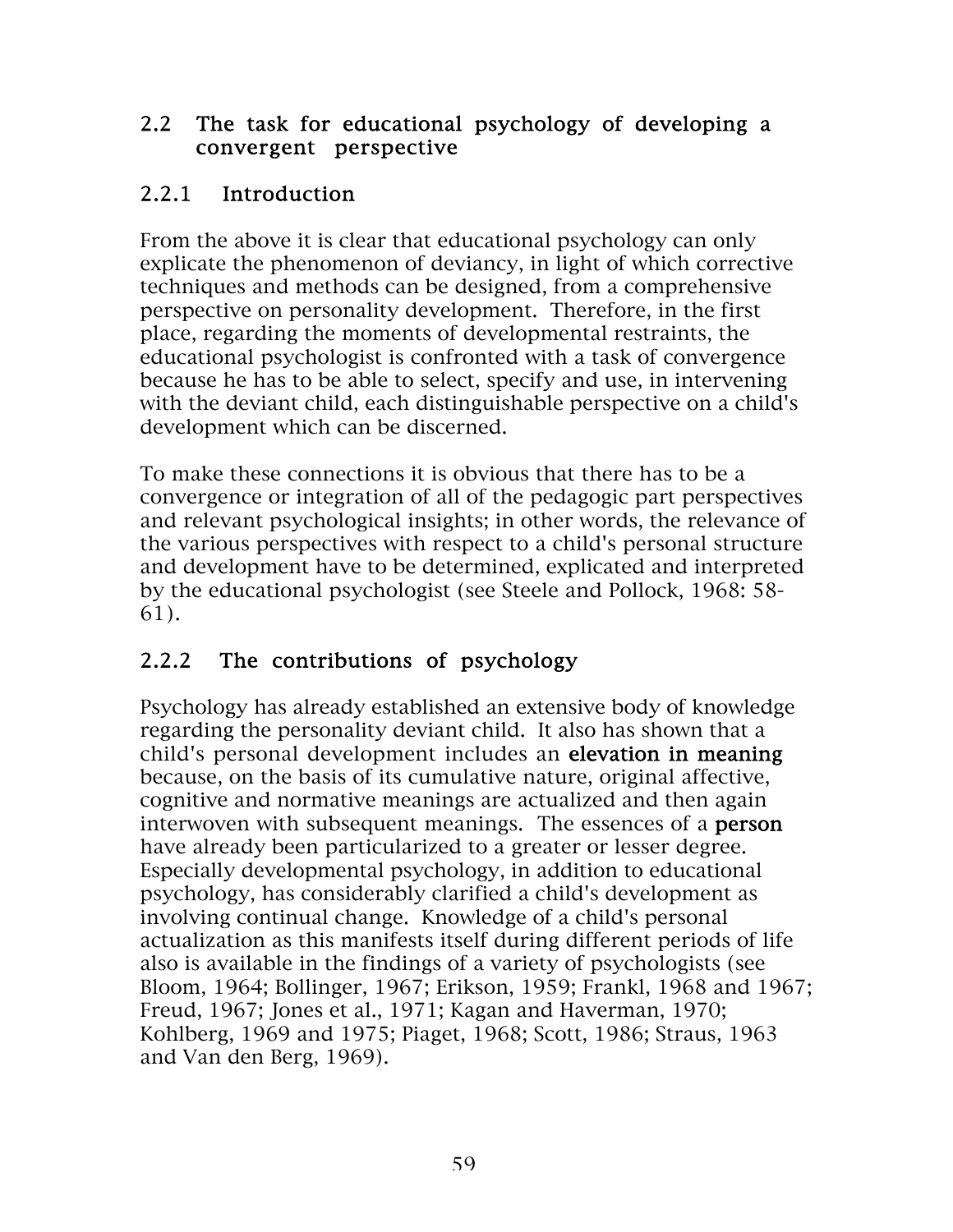#### 2.2 The task for educational psychology of developing a convergent perspective

### 2.2.1 Introduction

From the above it is clear that educational psychology can only explicate the phenomenon of deviancy, in light of which corrective techniques and methods can be designed, from a comprehensive perspective on personality development. Therefore, in the first place, regarding the moments of developmental restraints, the educational psychologist is confronted with a task of convergence because he has to be able to select, specify and use, in intervening with the deviant child, each distinguishable perspective on a child's development which can be discerned.

To make these connections it is obvious that there has to be a convergence or integration of all of the pedagogic part perspectives and relevant psychological insights; in other words, the relevance of the various perspectives with respect to a child's personal structure and development have to be determined, explicated and interpreted by the educational psychologist (see Steele and Pollock, 1968: 58- 61).

## 2.2.2 The contributions of psychology

Psychology has already established an extensive body of knowledge regarding the personality deviant child. It also has shown that a child's personal development includes an elevation in meaning because, on the basis of its cumulative nature, original affective, cognitive and normative meanings are actualized and then again interwoven with subsequent meanings. The essences of a **person** have already been particularized to a greater or lesser degree. Especially developmental psychology, in addition to educational psychology, has considerably clarified a child's development as involving continual change. Knowledge of a child's personal actualization as this manifests itself during different periods of life also is available in the findings of a variety of psychologists (see Bloom, 1964; Bollinger, 1967; Erikson, 1959; Frankl, 1968 and 1967; Freud, 1967; Jones et al., 1971; Kagan and Haverman, 1970; Kohlberg, 1969 and 1975; Piaget, 1968; Scott, 1986; Straus, 1963 and Van den Berg, 1969).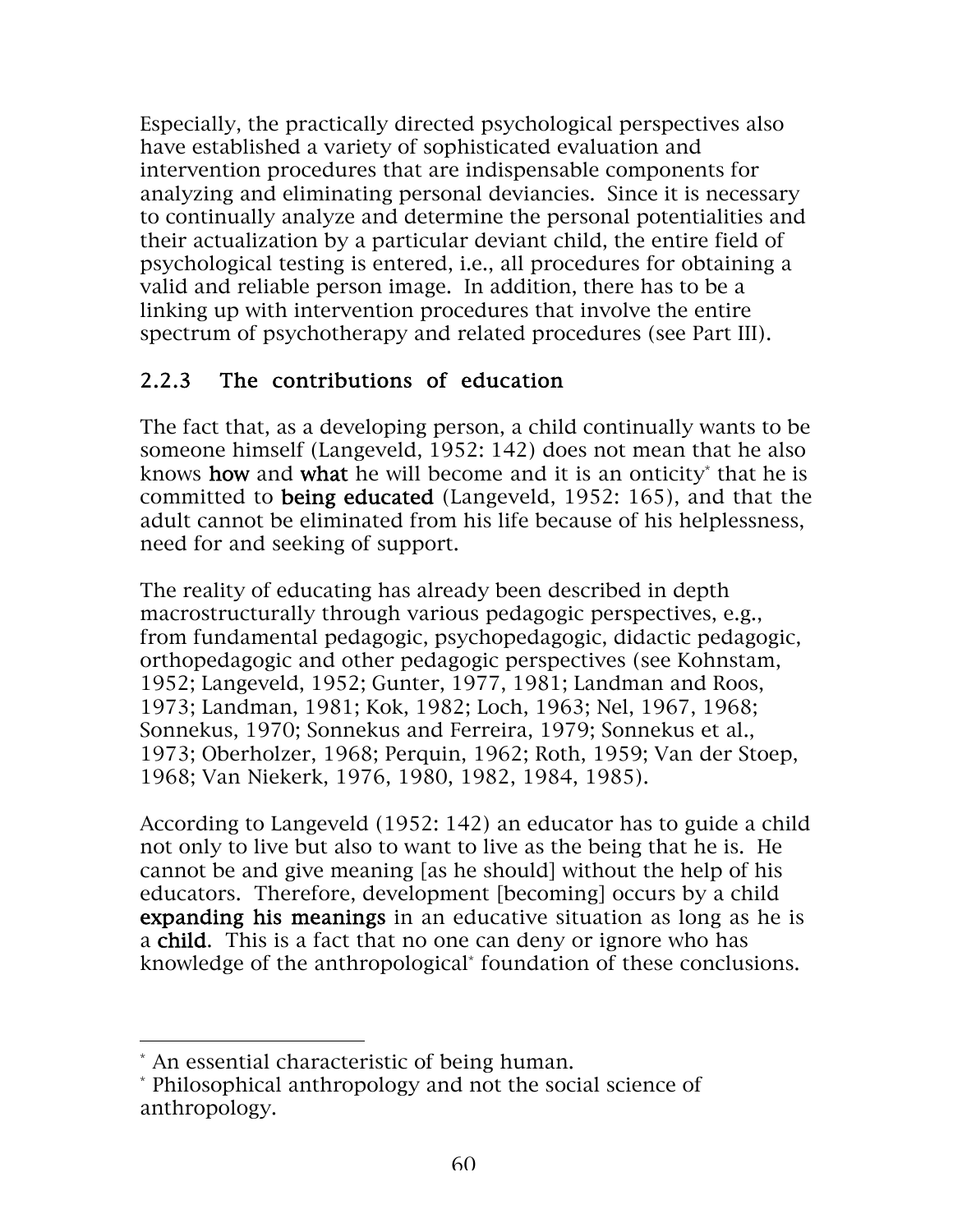Especially, the practically directed psychological perspectives also have established a variety of sophisticated evaluation and intervention procedures that are indispensable components for analyzing and eliminating personal deviancies. Since it is necessary to continually analyze and determine the personal potentialities and their actualization by a particular deviant child, the entire field of psychological testing is entered, i.e., all procedures for obtaining a valid and reliable person image. In addition, there has to be a linking up with intervention procedures that involve the entire spectrum of psychotherapy and related procedures (see Part III).

### 2.2.3 The contributions of education

The fact that, as a developing person, a child continually wants to be someone himself (Langeveld, 1952: 142) does not mean that he also knows how and what he will become and it is an onticity that he is committed to being educated (Langeveld, 1952: 165), and that the adult cannot be eliminated from his life because of his helplessness, need for and seeking of support.

The reality of educating has already been described in depth macrostructurally through various pedagogic perspectives, e.g., from fundamental pedagogic, psychopedagogic, didactic pedagogic, orthopedagogic and other pedagogic perspectives (see Kohnstam, 1952; Langeveld, 1952; Gunter, 1977, 1981; Landman and Roos, 1973; Landman, 1981; Kok, 1982; Loch, 1963; Nel, 1967, 1968; Sonnekus, 1970; Sonnekus and Ferreira, 1979; Sonnekus et al., 1973; Oberholzer, 1968; Perquin, 1962; Roth, 1959; Van der Stoep, 1968; Van Niekerk, 1976, 1980, 1982, 1984, 1985).

According to Langeveld (1952: 142) an educator has to guide a child not only to live but also to want to live as the being that he is. He cannot be and give meaning [as he should] without the help of his educators. Therefore, development [becoming] occurs by a child expanding his meanings in an educative situation as long as he is a child. This is a fact that no one can deny or ignore who has knowledge of the anthropological\* foundation of these conclusions.

 $\overline{a}$ 

<sup>\*</sup> An essential characteristic of being human.

<sup>\*</sup> Philosophical anthropology and not the social science of anthropology.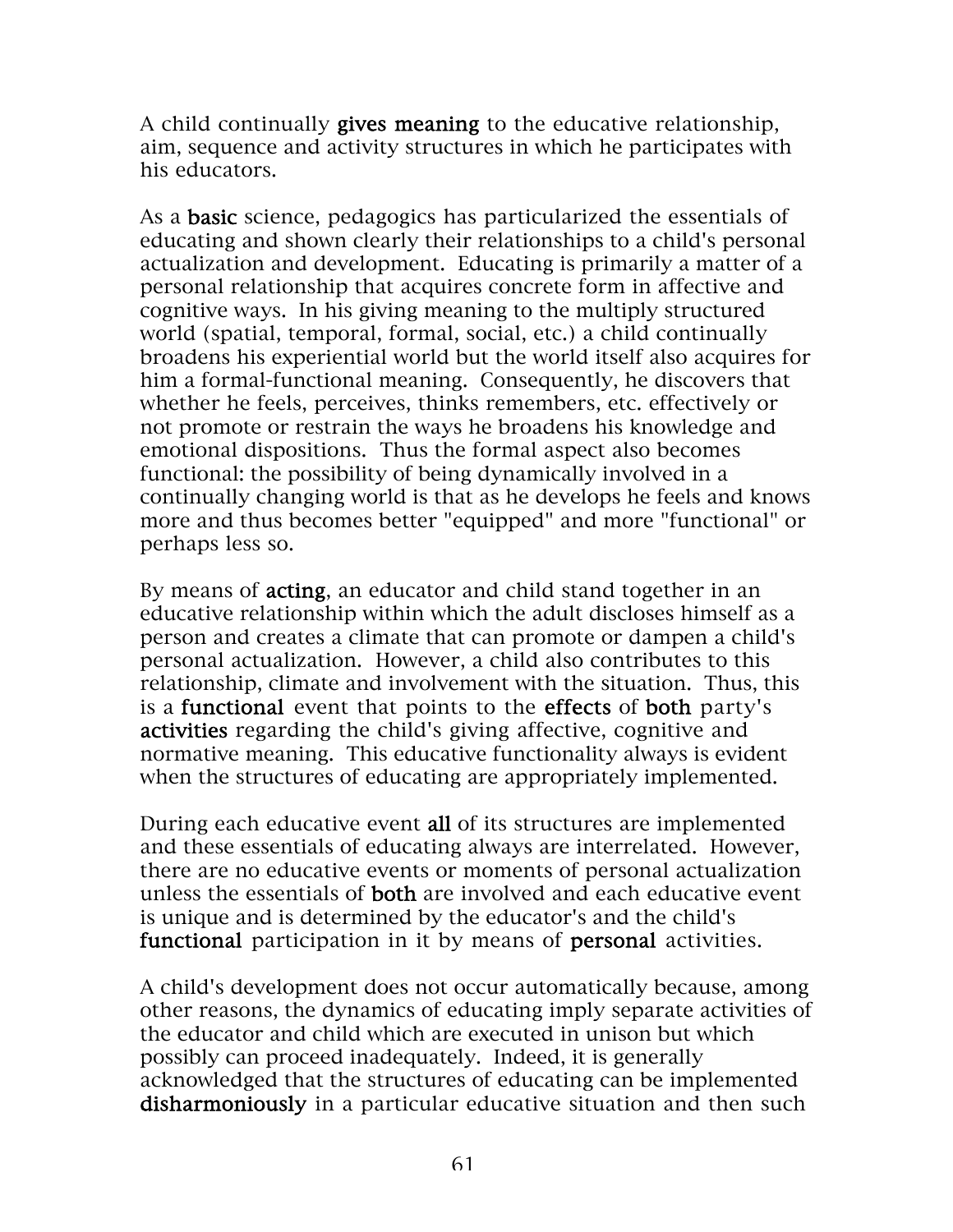A child continually gives meaning to the educative relationship, aim, sequence and activity structures in which he participates with his educators.

As a **basic** science, pedagogics has particularized the essentials of educating and shown clearly their relationships to a child's personal actualization and development. Educating is primarily a matter of a personal relationship that acquires concrete form in affective and cognitive ways. In his giving meaning to the multiply structured world (spatial, temporal, formal, social, etc.) a child continually broadens his experiential world but the world itself also acquires for him a formal-functional meaning. Consequently, he discovers that whether he feels, perceives, thinks remembers, etc. effectively or not promote or restrain the ways he broadens his knowledge and emotional dispositions. Thus the formal aspect also becomes functional: the possibility of being dynamically involved in a continually changing world is that as he develops he feels and knows more and thus becomes better "equipped" and more "functional" or perhaps less so.

By means of **acting**, an educator and child stand together in an educative relationship within which the adult discloses himself as a person and creates a climate that can promote or dampen a child's personal actualization. However, a child also contributes to this relationship, climate and involvement with the situation. Thus, this is a functional event that points to the effects of both party's activities regarding the child's giving affective, cognitive and normative meaning. This educative functionality always is evident when the structures of educating are appropriately implemented.

During each educative event all of its structures are implemented and these essentials of educating always are interrelated. However, there are no educative events or moments of personal actualization unless the essentials of both are involved and each educative event is unique and is determined by the educator's and the child's functional participation in it by means of personal activities.

A child's development does not occur automatically because, among other reasons, the dynamics of educating imply separate activities of the educator and child which are executed in unison but which possibly can proceed inadequately. Indeed, it is generally acknowledged that the structures of educating can be implemented disharmoniously in a particular educative situation and then such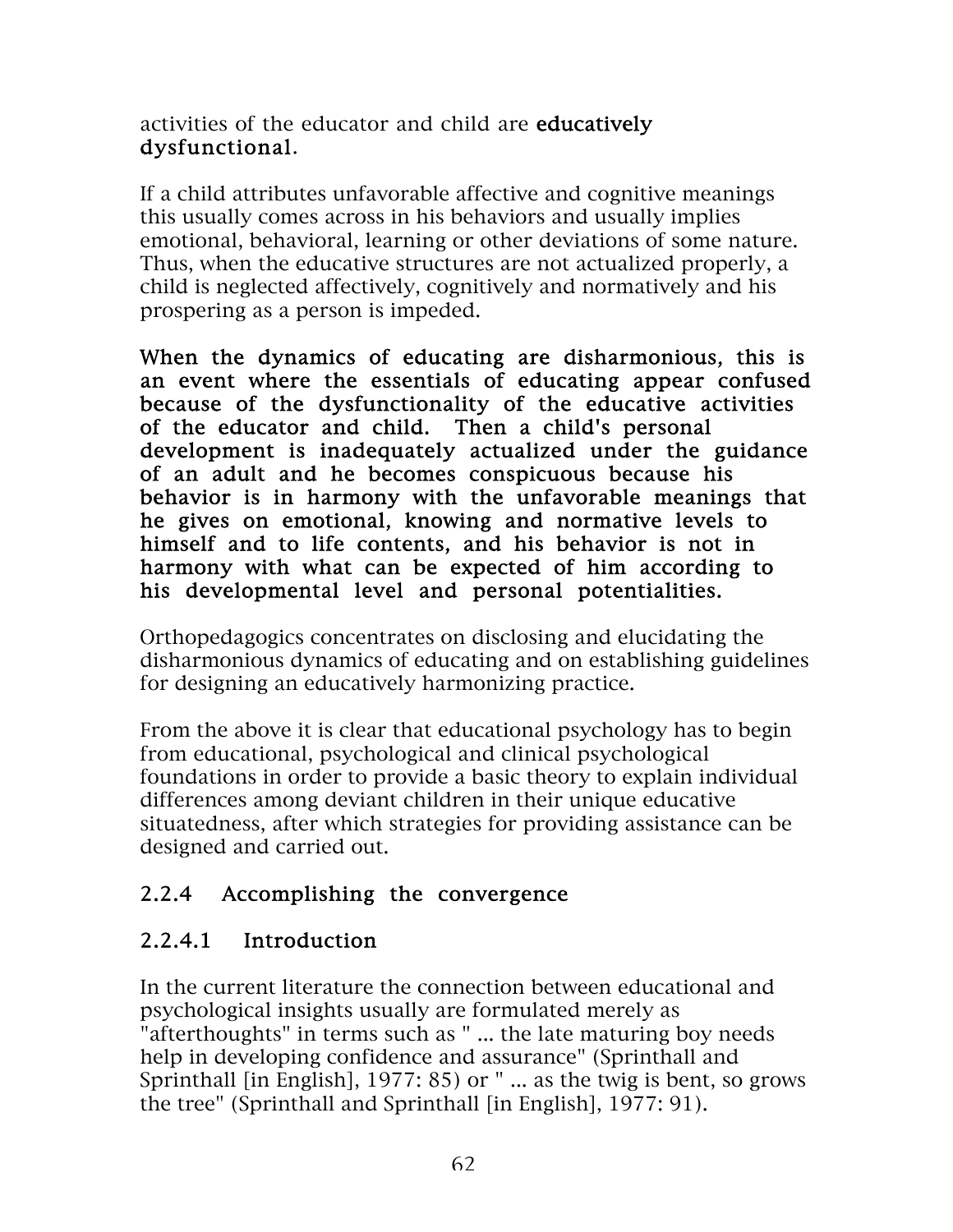activities of the educator and child are educatively dysfunctional.

If a child attributes unfavorable affective and cognitive meanings this usually comes across in his behaviors and usually implies emotional, behavioral, learning or other deviations of some nature. Thus, when the educative structures are not actualized properly, a child is neglected affectively, cognitively and normatively and his prospering as a person is impeded.

When the dynamics of educating are disharmonious, this is an event where the essentials of educating appear confused because of the dysfunctionality of the educative activities of the educator and child. Then a child's personal development is inadequately actualized under the guidance of an adult and he becomes conspicuous because his behavior is in harmony with the unfavorable meanings that he gives on emotional, knowing and normative levels to himself and to life contents, and his behavior is not in harmony with what can be expected of him according to his developmental level and personal potentialities.

Orthopedagogics concentrates on disclosing and elucidating the disharmonious dynamics of educating and on establishing guidelines for designing an educatively harmonizing practice.

From the above it is clear that educational psychology has to begin from educational, psychological and clinical psychological foundations in order to provide a basic theory to explain individual differences among deviant children in their unique educative situatedness, after which strategies for providing assistance can be designed and carried out.

## 2.2.4 Accomplishing the convergence

#### 2.2.4.1 Introduction

In the current literature the connection between educational and psychological insights usually are formulated merely as "afterthoughts" in terms such as " ... the late maturing boy needs help in developing confidence and assurance" (Sprinthall and Sprinthall [in English], 1977: 85) or " ... as the twig is bent, so grows the tree" (Sprinthall and Sprinthall [in English], 1977: 91).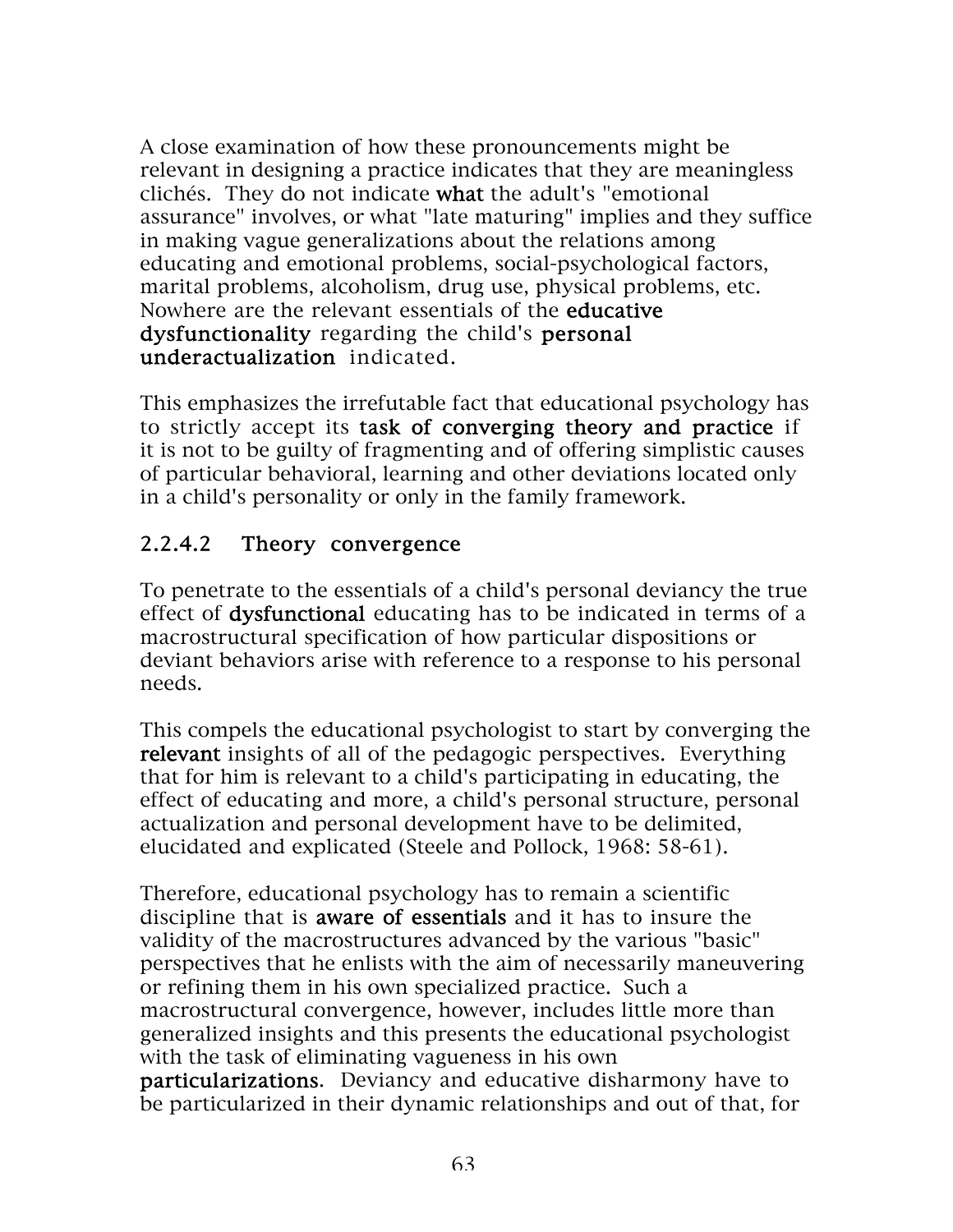A close examination of how these pronouncements might be relevant in designing a practice indicates that they are meaningless clichés. They do not indicate what the adult's "emotional assurance" involves, or what "late maturing" implies and they suffice in making vague generalizations about the relations among educating and emotional problems, social-psychological factors, marital problems, alcoholism, drug use, physical problems, etc. Nowhere are the relevant essentials of the educative dysfunctionality regarding the child's personal underactualization indicated.

This emphasizes the irrefutable fact that educational psychology has to strictly accept its task of converging theory and practice if it is not to be guilty of fragmenting and of offering simplistic causes of particular behavioral, learning and other deviations located only in a child's personality or only in the family framework.

## 2.2.4.2 Theory convergence

To penetrate to the essentials of a child's personal deviancy the true effect of dysfunctional educating has to be indicated in terms of a macrostructural specification of how particular dispositions or deviant behaviors arise with reference to a response to his personal needs.

This compels the educational psychologist to start by converging the relevant insights of all of the pedagogic perspectives. Everything that for him is relevant to a child's participating in educating, the effect of educating and more, a child's personal structure, personal actualization and personal development have to be delimited, elucidated and explicated (Steele and Pollock, 1968: 58-61).

Therefore, educational psychology has to remain a scientific discipline that is aware of essentials and it has to insure the validity of the macrostructures advanced by the various "basic" perspectives that he enlists with the aim of necessarily maneuvering or refining them in his own specialized practice. Such a macrostructural convergence, however, includes little more than generalized insights and this presents the educational psychologist with the task of eliminating vagueness in his own particularizations. Deviancy and educative disharmony have to be particularized in their dynamic relationships and out of that, for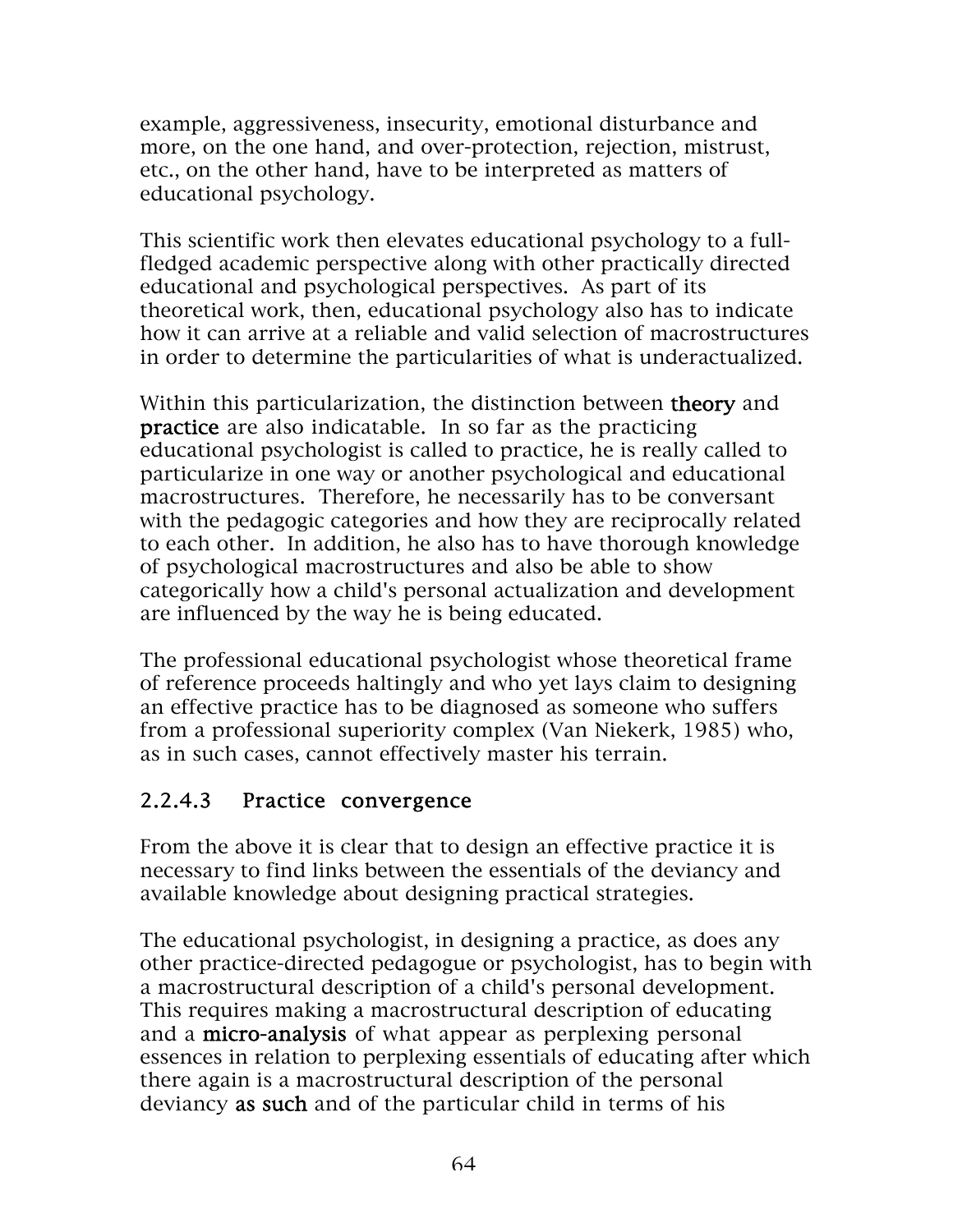example, aggressiveness, insecurity, emotional disturbance and more, on the one hand, and over-protection, rejection, mistrust, etc., on the other hand, have to be interpreted as matters of educational psychology.

This scientific work then elevates educational psychology to a fullfledged academic perspective along with other practically directed educational and psychological perspectives. As part of its theoretical work, then, educational psychology also has to indicate how it can arrive at a reliable and valid selection of macrostructures in order to determine the particularities of what is underactualized.

Within this particularization, the distinction between **theory** and practice are also indicatable. In so far as the practicing educational psychologist is called to practice, he is really called to particularize in one way or another psychological and educational macrostructures. Therefore, he necessarily has to be conversant with the pedagogic categories and how they are reciprocally related to each other. In addition, he also has to have thorough knowledge of psychological macrostructures and also be able to show categorically how a child's personal actualization and development are influenced by the way he is being educated.

The professional educational psychologist whose theoretical frame of reference proceeds haltingly and who yet lays claim to designing an effective practice has to be diagnosed as someone who suffers from a professional superiority complex (Van Niekerk, 1985) who, as in such cases, cannot effectively master his terrain.

#### 2.2.4.3 Practice convergence

From the above it is clear that to design an effective practice it is necessary to find links between the essentials of the deviancy and available knowledge about designing practical strategies.

The educational psychologist, in designing a practice, as does any other practice-directed pedagogue or psychologist, has to begin with a macrostructural description of a child's personal development. This requires making a macrostructural description of educating and a micro-analysis of what appear as perplexing personal essences in relation to perplexing essentials of educating after which there again is a macrostructural description of the personal deviancy as such and of the particular child in terms of his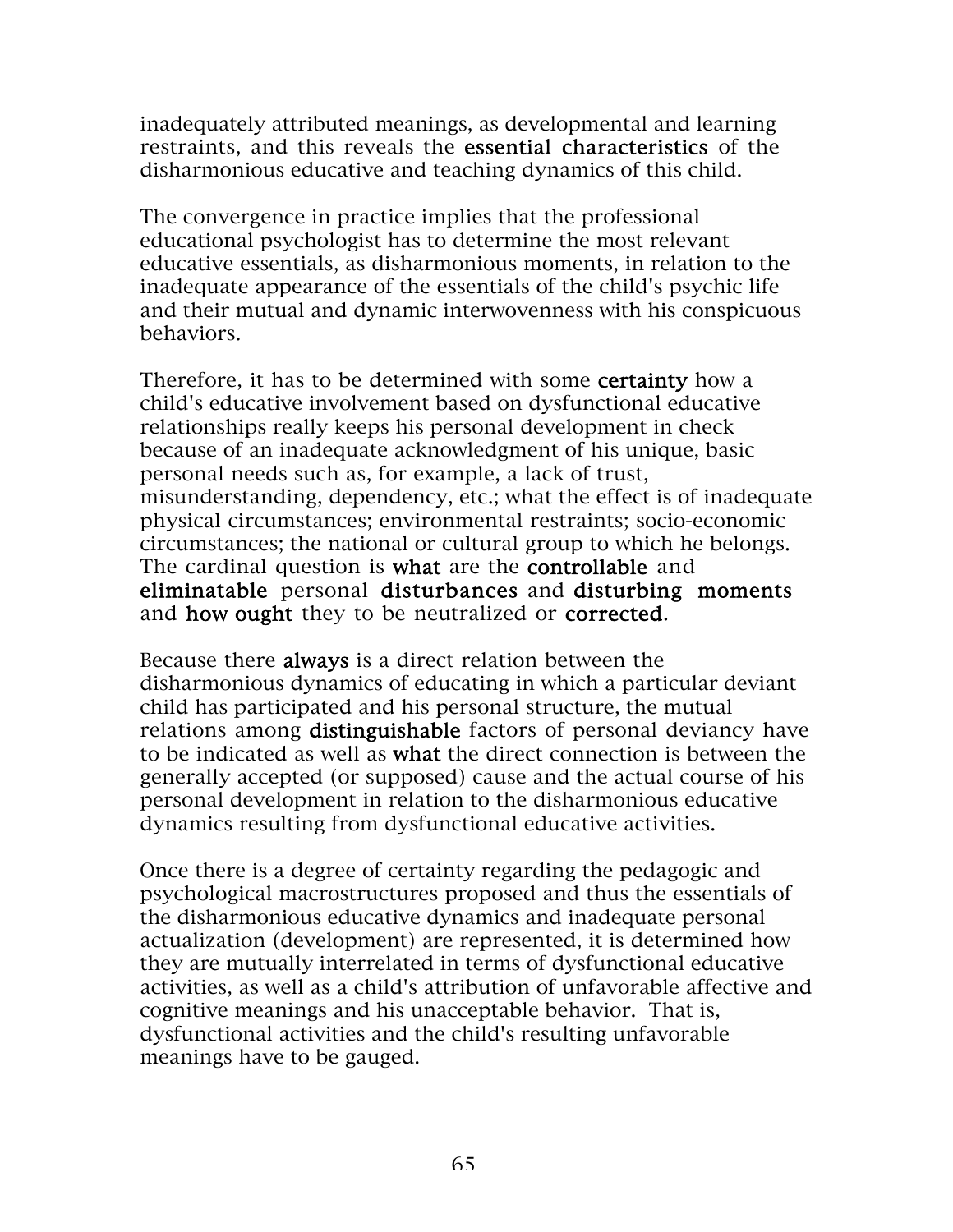inadequately attributed meanings, as developmental and learning restraints, and this reveals the essential characteristics of the disharmonious educative and teaching dynamics of this child.

The convergence in practice implies that the professional educational psychologist has to determine the most relevant educative essentials, as disharmonious moments, in relation to the inadequate appearance of the essentials of the child's psychic life and their mutual and dynamic interwovenness with his conspicuous behaviors.

Therefore, it has to be determined with some **certainty** how a child's educative involvement based on dysfunctional educative relationships really keeps his personal development in check because of an inadequate acknowledgment of his unique, basic personal needs such as, for example, a lack of trust, misunderstanding, dependency, etc.; what the effect is of inadequate physical circumstances; environmental restraints; socio-economic circumstances; the national or cultural group to which he belongs. The cardinal question is what are the controllable and eliminatable personal disturbances and disturbing moments and how ought they to be neutralized or corrected.

Because there always is a direct relation between the disharmonious dynamics of educating in which a particular deviant child has participated and his personal structure, the mutual relations among **distinguishable** factors of personal deviancy have to be indicated as well as what the direct connection is between the generally accepted (or supposed) cause and the actual course of his personal development in relation to the disharmonious educative dynamics resulting from dysfunctional educative activities.

Once there is a degree of certainty regarding the pedagogic and psychological macrostructures proposed and thus the essentials of the disharmonious educative dynamics and inadequate personal actualization (development) are represented, it is determined how they are mutually interrelated in terms of dysfunctional educative activities, as well as a child's attribution of unfavorable affective and cognitive meanings and his unacceptable behavior. That is, dysfunctional activities and the child's resulting unfavorable meanings have to be gauged.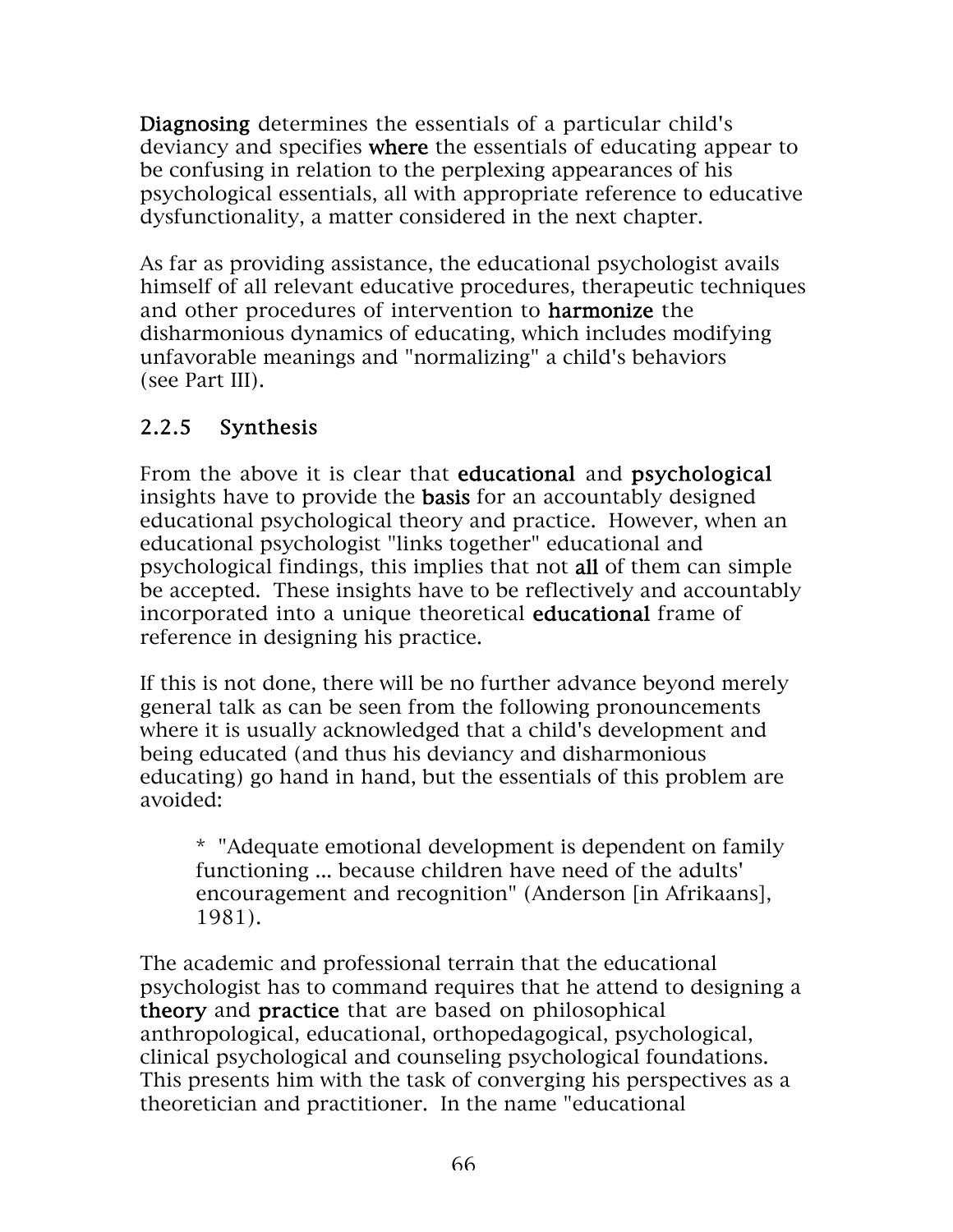Diagnosing determines the essentials of a particular child's deviancy and specifies where the essentials of educating appear to be confusing in relation to the perplexing appearances of his psychological essentials, all with appropriate reference to educative dysfunctionality, a matter considered in the next chapter.

As far as providing assistance, the educational psychologist avails himself of all relevant educative procedures, therapeutic techniques and other procedures of intervention to harmonize the disharmonious dynamics of educating, which includes modifying unfavorable meanings and "normalizing" a child's behaviors (see Part III).

# 2.2.5 Synthesis

From the above it is clear that **educational** and **psychological** insights have to provide the basis for an accountably designed educational psychological theory and practice. However, when an educational psychologist "links together" educational and psychological findings, this implies that not all of them can simple be accepted. These insights have to be reflectively and accountably incorporated into a unique theoretical educational frame of reference in designing his practice.

If this is not done, there will be no further advance beyond merely general talk as can be seen from the following pronouncements where it is usually acknowledged that a child's development and being educated (and thus his deviancy and disharmonious educating) go hand in hand, but the essentials of this problem are avoided:

\* "Adequate emotional development is dependent on family functioning ... because children have need of the adults' encouragement and recognition" (Anderson [in Afrikaans], 1981).

The academic and professional terrain that the educational psychologist has to command requires that he attend to designing a theory and practice that are based on philosophical anthropological, educational, orthopedagogical, psychological, clinical psychological and counseling psychological foundations. This presents him with the task of converging his perspectives as a theoretician and practitioner. In the name "educational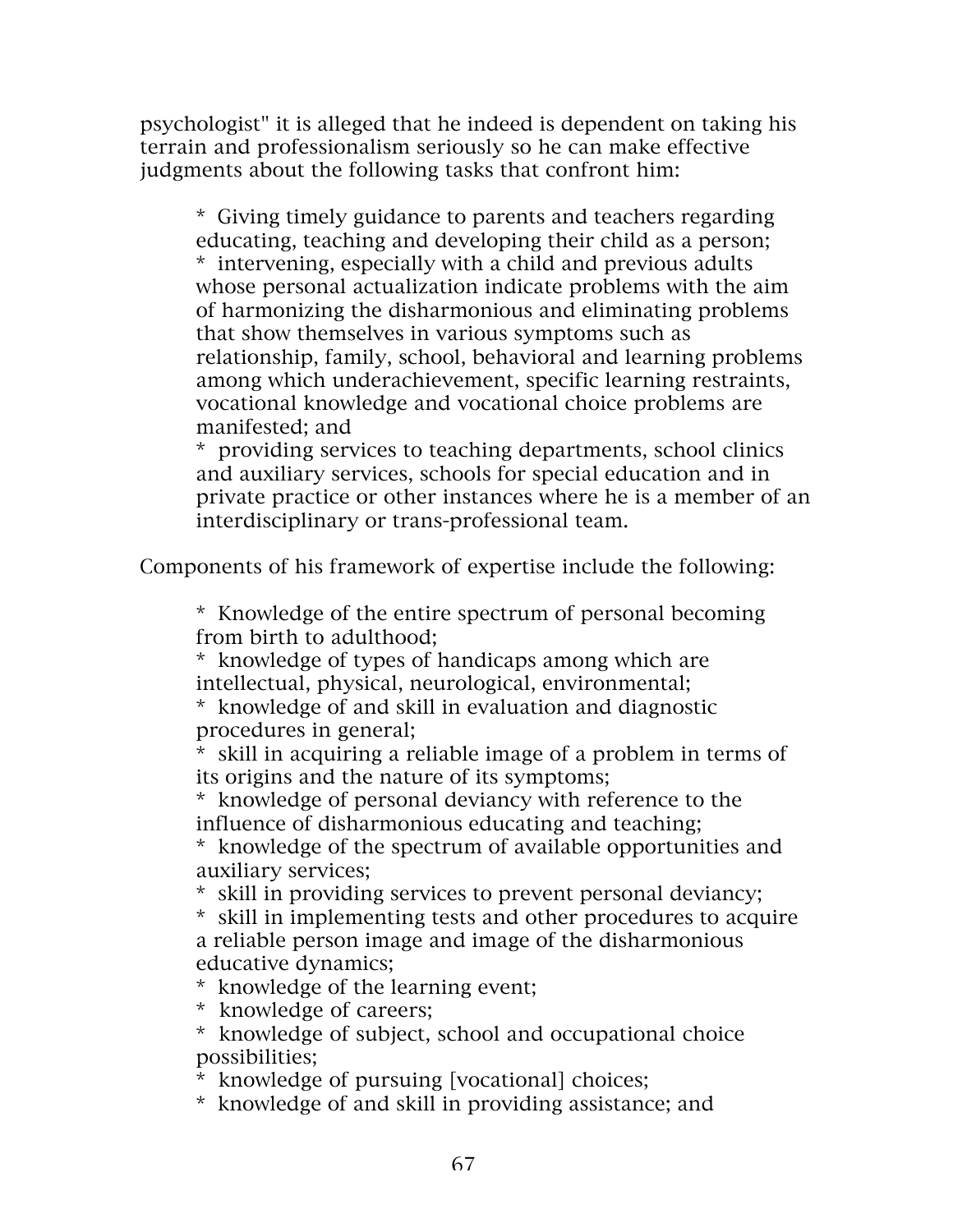psychologist" it is alleged that he indeed is dependent on taking his terrain and professionalism seriously so he can make effective judgments about the following tasks that confront him:

\* Giving timely guidance to parents and teachers regarding educating, teaching and developing their child as a person; \* intervening, especially with a child and previous adults whose personal actualization indicate problems with the aim of harmonizing the disharmonious and eliminating problems that show themselves in various symptoms such as relationship, family, school, behavioral and learning problems among which underachievement, specific learning restraints, vocational knowledge and vocational choice problems are manifested; and

\* providing services to teaching departments, school clinics and auxiliary services, schools for special education and in private practice or other instances where he is a member of an interdisciplinary or trans-professional team.

Components of his framework of expertise include the following:

\* Knowledge of the entire spectrum of personal becoming from birth to adulthood;

\* knowledge of types of handicaps among which are intellectual, physical, neurological, environmental;

\* knowledge of and skill in evaluation and diagnostic procedures in general;

\* skill in acquiring a reliable image of a problem in terms of its origins and the nature of its symptoms;

\* knowledge of personal deviancy with reference to the influence of disharmonious educating and teaching;

\* knowledge of the spectrum of available opportunities and auxiliary services;

\* skill in providing services to prevent personal deviancy;

\* skill in implementing tests and other procedures to acquire a reliable person image and image of the disharmonious educative dynamics;

\* knowledge of the learning event;

\* knowledge of careers;

\* knowledge of subject, school and occupational choice possibilities;

\* knowledge of pursuing [vocational] choices;

\* knowledge of and skill in providing assistance; and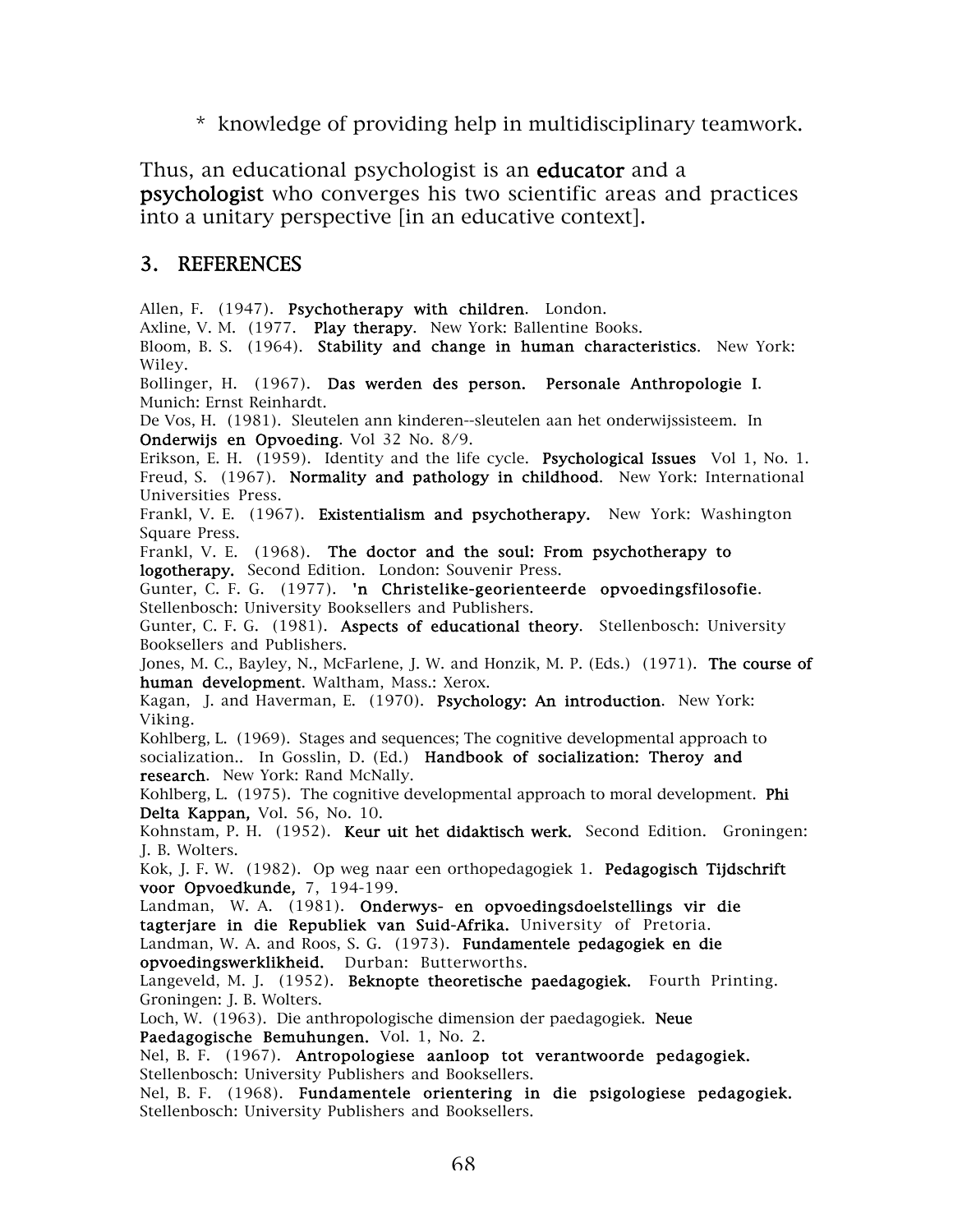\* knowledge of providing help in multidisciplinary teamwork.

Thus, an educational psychologist is an **educator** and a psychologist who converges his two scientific areas and practices into a unitary perspective [in an educative context].

#### 3. REFERENCES

Allen, F. (1947). Psychotherapy with children. London.

Axline, V. M. (1977. Play therapy. New York: Ballentine Books.

Bloom, B. S. (1964). Stability and change in human characteristics. New York: Wiley.

Bollinger, H. (1967). Das werden des person. Personale Anthropologie I. Munich: Ernst Reinhardt.

De Vos, H. (1981). Sleutelen ann kinderen--sleutelen aan het onderwijssisteem. In Onderwijs en Opvoeding. Vol 32 No. 8/9.

Erikson, E. H. (1959). Identity and the life cycle. Psychological Issues Vol 1, No. 1. Freud, S. (1967). Normality and pathology in childhood. New York: International Universities Press.

Frankl, V. E. (1967). Existentialism and psychotherapy. New York: Washington Square Press.

Frankl, V. E. (1968). The doctor and the soul: From psychotherapy to logotherapy. Second Edition. London: Souvenir Press.

Gunter, C. F. G. (1977). 'n Christelike-georienteerde opvoedingsfilosofie. Stellenbosch: University Booksellers and Publishers.

Gunter, C. F. G. (1981). Aspects of educational theory. Stellenbosch: University Booksellers and Publishers.

Jones, M. C., Bayley, N., McFarlene, J. W. and Honzik, M. P. (Eds.) (1971). The course of human development. Waltham, Mass.: Xerox.

Kagan, J. and Haverman, E. (1970). Psychology: An introduction. New York: Viking.

Kohlberg, L. (1969). Stages and sequences; The cognitive developmental approach to socialization.. In Gosslin, D. (Ed.) Handbook of socialization: Theroy and research. New York: Rand McNally.

Kohlberg, L. (1975). The cognitive developmental approach to moral development. **Phi** Delta Kappan, Vol. 56, No. 10.

Kohnstam, P. H. (1952). Keur uit het didaktisch werk. Second Edition. Groningen: J. B. Wolters.

Kok, J. F. W. (1982). Op weg naar een orthopedagogiek 1. Pedagogisch Tijdschrift voor Opvoedkunde, 7, 194-199.

Landman, W. A. (1981). Onderwys- en opvoedingsdoelstellings vir die tagterjare in die Republiek van Suid-Afrika. University of Pretoria.

Landman, W. A. and Roos, S. G. (1973). Fundamentele pedagogiek en die opvoedingswerklikheid. Durban: Butterworths.

Langeveld, M. J. (1952). Beknopte theoretische paedagogiek. Fourth Printing. Groningen: J. B. Wolters.

Loch, W. (1963). Die anthropologische dimension der paedagogiek. Neue Paedagogische Bemuhungen. Vol. 1, No. 2.

Nel, B. F. (1967). Antropologiese aanloop tot verantwoorde pedagogiek.

Stellenbosch: University Publishers and Booksellers.

Nel, B. F. (1968). Fundamentele orientering in die psigologiese pedagogiek. Stellenbosch: University Publishers and Booksellers.